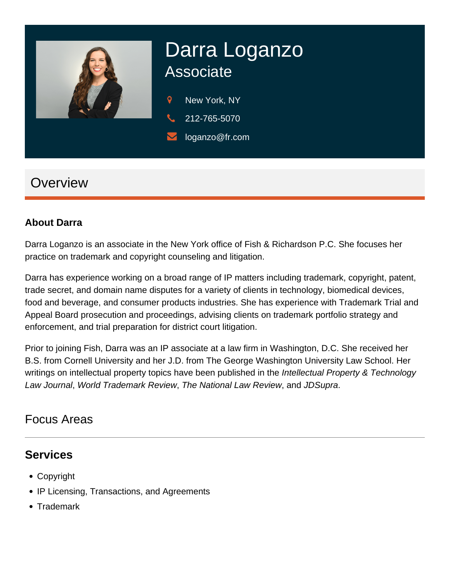

# Darra Loganzo Associate

- 9 New York, NY
- 212-765-5070
- loganzo@fr.com

## **Overview**

#### **About Darra**

Darra Loganzo is an associate in the New York office of Fish & Richardson P.C. She focuses her practice on trademark and copyright counseling and litigation.

Darra has experience working on a broad range of IP matters including trademark, copyright, patent, trade secret, and domain name disputes for a variety of clients in technology, biomedical devices, food and beverage, and consumer products industries. She has experience with Trademark Trial and Appeal Board prosecution and proceedings, advising clients on trademark portfolio strategy and enforcement, and trial preparation for district court litigation.

Prior to joining Fish, Darra was an IP associate at a law firm in Washington, D.C. She received her B.S. from Cornell University and her J.D. from The George Washington University Law School. Her writings on intellectual property topics have been published in the Intellectual Property & Technology Law Journal, World Trademark Review, The National Law Review, and JDSupra.

### Focus Areas

#### **Services**

- Copyright
- IP Licensing, Transactions, and Agreements
- Trademark